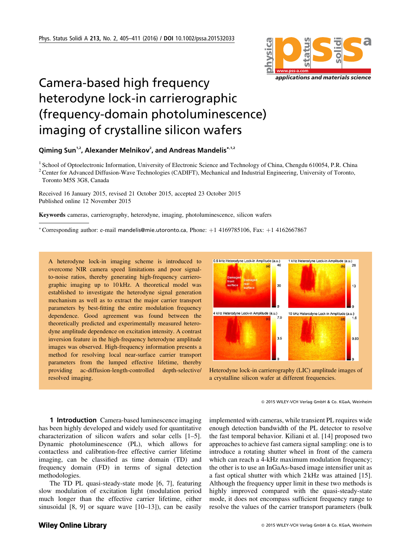

## Camera-based high frequency heterodyne lock-in carrierographic (frequency-domain photoluminescence) imaging of crystalline silicon wafers

Qiming Sun<sup>1,2</sup>, Alexander Melnikov<sup>2</sup>, and Andreas Mandelis\*<sup>,1,2</sup>

<sup>1</sup> School of Optoelectronic Information, University of Electronic Science and Technology of China, Chengdu 610054, P.R. China <sup>2</sup> Center for Advanced Diffusion-Wave Technologies (CADIFT), Mechanical and Industrial Engineering, University of Toronto, Toronto M5S 3G8, Canada

Received 16 January 2015, revised 21 October 2015, accepted 23 October 2015 Published online 12 November 2015

Keywords cameras, carrierography, heterodyne, imaging, photoluminescence, silicon wafers

\*Corresponding author: e-mail mandelis@mie.utoronto.ca, Phone: þ1 4169785106, Fax: þ1 4162667867

A heterodyne lock-in imaging scheme is introduced to overcome NIR camera speed limitations and poor signalto-noise ratios, thereby generating high-frequency carrierographic imaging up to 10 kHz. A theoretical model was established to investigate the heterodyne signal generation mechanism as well as to extract the major carrier transport parameters by best-fitting the entire modulation frequency dependence. Good agreement was found between the theoretically predicted and experimentally measured heterodyne amplitude dependence on excitation intensity. A contrast inversion feature in the high-frequency heterodyne amplitude images was observed. High-frequency information presents a method for resolving local near-surface carrier transport parameters from the lumped effective lifetime, thereby providing ac-diffusion-length-controlled depth-selective/ resolved imaging.



Heterodyne lock-in carrierography (LIC) amplitude images of a crystalline silicon wafer at different frequencies.

1 Introduction Camera-based luminescence imaging has been highly developed and widely used for quantitative characterization of silicon wafers and solar cells [1–5]. Dynamic photoluminescence (PL), which allows for contactless and calibration-free effective carrier lifetime imaging, can be classified as time domain (TD) and frequency domain (FD) in terms of signal detection methodologies.

The TD PL quasi-steady-state mode [6, 7], featuring slow modulation of excitation light (modulation period much longer than the effective carrier lifetime, either sinusoidal [8, 9] or square wave [10–13]), can be easily implemented with cameras, while transient PL requires wide enough detection bandwidth of the PL detector to resolve the fast temporal behavior. Kiliani et al. [14] proposed two approaches to achieve fast camera signal sampling: one is to introduce a rotating shutter wheel in front of the camera which can reach a 4-kHz maximum modulation frequency; the other is to use an InGaAs-based image intensifier unit as a fast optical shutter with which 2 kHz was attained [15]. Although the frequency upper limit in these two methods is highly improved compared with the quasi-steady-state mode, it does not encompass sufficient frequency range to resolve the values of the carrier transport parameters (bulk

2015 WILEY-VCH Verlag GmbH & Co. KGaA, Weinheim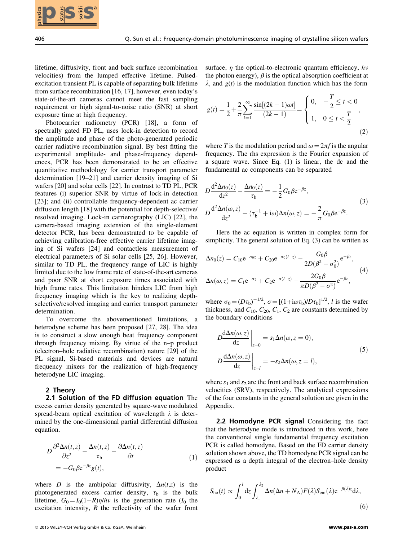lifetime, diffusivity, front and back surface recombination velocities) from the lumped effective lifetime. Pulsedexcitation transient PL is capable of separating bulk lifetime from surface recombination [16, 17], however, even today's state-of-the-art cameras cannot meet the fast sampling requirement or high signal-to-noise ratio (SNR) at short exposure time at high frequency.

Photocarrier radiometry (PCR) [18], a form of spectrally gated FD PL, uses lock-in detection to record the amplitude and phase of the photo-generated periodic carrier radiative recombination signal. By best fitting the experimental amplitude- and phase-frequency dependences, PCR has been demonstrated to be an effective quantitative methodology for carrier transport parameter determination [19–21] and carrier density imaging of Si wafers [20] and solar cells [22]. In contrast to TD PL, PCR features (i) superior SNR by virtue of lock-in detection [23]; and (ii) controllable frequency-dependent ac carrier diffusion length [18] with the potential for depth-selective/ resolved imaging. Lock-in carrierography (LIC) [22], the camera-based imaging extension of the single-element detector PCR, has been demonstrated to be capable of achieving calibration-free effective carrier lifetime imaging of Si wafers [24] and contactless measurement of electrical parameters of Si solar cells [25, 26]. However, similar to TD PL, the frequency range of LIC is highly limited due to the low frame rate of state-of-the-art cameras and poor SNR at short exposure times associated with high frame rates. This limitation hinders LIC from high frequency imaging which is the key to realizing depthselective/resolved imaging and carrier transport parameter determination. **EXERECT: 2018** WEINTHIGHT CONTROLL AS THE CONTROLL AS THE CONTROLL AS THE CONTROLL AS THE CONTROLL AS THE CONTROLL AS THE CONTROLL AS THE CONTROLL AS THE CONTROLL AS THE CONTROLL AS THE CONTROLL AS THE CONTROLL AS THE

To overcome the abovementioned limitations, a heterodyne scheme has been proposed [27, 28]. The idea is to construct a slow enough beat frequency component through frequency mixing. By virtue of the n–p product (electron–hole radiative recombination) nature [29] of the PL signal, Si-based materials and devices are natural frequency mixers for the realization of high-frequency heterodyne LIC imaging.

## 2 Theory

2.1 Solution of the FD diffusion equation The excess carrier density generated by square-wave modulated spread-beam optical excitation of wavelength  $\lambda$  is determined by the one-dimensional partial differential diffusion equation.

$$
D \frac{\partial^2 \Delta n(t, z)}{\partial z^2} - \frac{\Delta n(t, z)}{\tau_b} - \frac{\partial \Delta n(t, z)}{\partial t}
$$
  
= -G\_0 \beta e^{-\beta z} g(t), (1)

where D is the ambipolar diffusivity,  $\Delta n(t,z)$  is the photogenerated excess carrier density,  $\tau_b$  is the bulk lifetime,  $G_0 = I_0(1-R)\eta/h\nu$  is the generation rate ( $I_0$  the excitation intensity,  $R$  the reflectivity of the wafer front surface,  $\eta$  the optical-to-electronic quantum efficiency, hv the photon energy),  $\beta$  is the optical absorption coefficient at  $\lambda$ , and  $g(t)$  is the modulation function which has the form

$$
g(t) = \frac{1}{2} + \frac{2}{\pi} \sum_{k=1}^{\infty} \frac{\sin[(2k-1)\omega t]}{(2k-1)} = \begin{cases} 0, & -\frac{1}{2} \le t < 0 \\ 1, & 0 \le t < \frac{T}{2} \end{cases},
$$
\n(2)

where T is the modulation period and  $\omega = 2\pi f$  is the angular frequency. The rhs expression is the Fourier expansion of a square wave. Since Eq. (1) is linear, the dc and the fundamental ac components can be separated

$$
D\frac{d^2 \Delta n_0(z)}{dz^2} - \frac{\Delta n_0(z)}{\tau_b} = -\frac{1}{2}G_0 \beta e^{-\beta z},
$$
  
\n
$$
D\frac{d^2 \Delta n(\omega, z)}{dz^2} - (\tau_b^{-1} + i\omega) \Delta n(\omega, z) = -\frac{2}{\pi}G_0 \beta e^{-\beta z}.
$$
\n(3)

Here the ac equation is written in complex form for simplicity. The general solution of Eq. (3) can be written as

$$
\Delta n_0(z) = C_{10} e^{-\sigma_0 z} + C_{20} e^{-\sigma_0 (l-z)} - \frac{G_0 \beta}{2D(\beta^2 - \sigma_0^2)} e^{-\beta z},
$$
  

$$
\Delta n(\omega, z) = C_1 e^{-\sigma z} + C_2 e^{-\sigma (l-z)} - \frac{2G_0 \beta}{\pi D(\beta^2 - \sigma^2)} e^{-\beta z},
$$
 (4)

where  $\sigma_0 = (D\tau_b)^{-1/2}$ ,  $\sigma = [(1+i\omega\tau_b)/D\tau_b]^{1/2}$ , *l* is the wafer<br>thickness and  $C_{12}$ ,  $C_{23}$ ,  $C_2$ , are constants determined by thickness, and  $C_{10}$ ,  $C_{20}$ ,  $C_1$ ,  $C_2$  are constants determined by the boundary conditions

$$
D\frac{d\Delta n(\omega, z)}{dz}\Big|_{z=0} = s_1 \Delta n(\omega, z = 0),
$$
  
\n
$$
D\frac{d\Delta n(\omega, z)}{dz}\Big|_{z=l} = -s_2 \Delta n(\omega, z = l),
$$
\n(5)

where  $s_1$  and  $s_2$  are the front and back surface recombination velocities (SRV), respectively. The analytical expressions of the four constants in the general solution are given in the Appendix.

2.2 Homodyne PCR signal Considering the fact that the heterodyne mode is introduced in this work, here the conventional single fundamental frequency excitation PCR is called homodyne. Based on the FD carrier density solution shown above, the TD homodyne PCR signal can be expressed as a depth integral of the electron–hole density product

$$
S_{\text{ho}}(t) \propto \int_0^l dz \int_{\lambda_1}^{\lambda_2} \Delta n (\Delta n + N_A) F(\lambda) S_{\text{em}}(\lambda) e^{-\beta(\lambda) z} d\lambda,
$$
\n(6)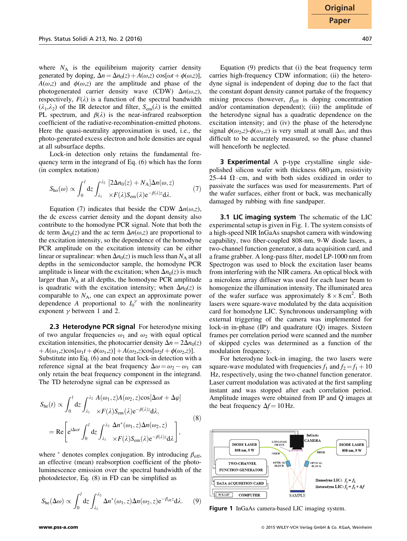where  $N_A$  is the equilibrium majority carrier density generated by doping,  $\Delta n = \Delta n_0(z) + A(\omega, z) \cos[\omega t + \phi(\omega, z)],$  $A(\omega, z)$  and  $\phi(\omega, z)$  are the amplitude and phase of the photogenerated carrier density wave (CDW)  $\Delta n(\omega, z)$ , respectively,  $F(\lambda)$  is a function of the spectral bandwidth  $(\lambda_1, \lambda_2)$  of the IR detector and filter,  $S_{em}(\lambda)$  is the emitted PL spectrum, and  $\beta(\lambda)$  is the near-infrared reabsorption coefficient of the radiative-recombination-emitted photons. Here the quasi-neutrality approximation is used, i.e., the photo-generated excess electron and hole densities are equal at all subsurface depths.

Lock-in detection only retains the fundamental frequency term in the integrand of Eq. (6) which has the form (in complex notation)

$$
S_{\text{ho}}(\omega) \propto \int_0^l dz \int_{\lambda_1}^{\lambda_2} \frac{[2\Delta n_0(z) + N_A]\Delta n(\omega, z)}{\times F(\lambda)S_{\text{em}}(\lambda)e^{-\beta(\lambda)z}d\lambda}.
$$
 (7)

Equation (7) indicates that beside the CDW  $\Delta n(\omega, z)$ , the dc excess carrier density and the dopant density also contribute to the homodyne PCR signal. Note that both the dc term  $\Delta n_0(z)$  and the ac term  $\Delta n(\omega, z)$  are proportional to the excitation intensity, so the dependence of the homodyne PCR amplitude on the excitation intensity can be either linear or supralinear: when  $\Delta n_0(z)$  is much less than  $N_A$  at all depths in the semiconductor sample, the homodyne PCR amplitude is linear with the excitation; when  $\Delta n_0(z)$  is much larger than  $N_A$  at all depths, the homodyne PCR amplitude is quadratic with the excitation intensity; when  $\Delta n_0(z)$  is comparable to  $N_A$ , one can expect an approximate power dependence A proportional to  $I_0^{\gamma}$  with the nonlinearity<br>exponent  $\gamma$  between 1 and 2 exponent  $\gamma$  between 1 and 2.

**2.3 Heterodyne PCR signal** For heterodyne mixing of two angular frequencies  $\omega_1$  and  $\omega_2$  with equal optical excitation intensities, the photocarrier density  $\Delta n = 2\Delta n_0(z)$  $+A(\omega_1,z)\cos[\omega_1t+\phi(\omega_1,z)]+A(\omega_2,z)\cos[\omega_2t+\phi(\omega_2,z)].$ Substitute into Eq. (6) and note that lock-in detection with a reference signal at the beat frequency  $\Delta\omega = \omega_2 - \omega_1$  can only retain the beat frequency component in the integrand. The TD heterodyne signal can be expressed as

$$
S_{\text{he}}(t) \propto \int_0^l dz \int_{\lambda_1}^{\lambda_2} \frac{A(\omega_1, z)A(\omega_2, z) \cos[\Delta \omega t + \Delta \varphi]}{\times F(\lambda) S_{\text{em}}(\lambda) e^{-\beta(\lambda) z} d\lambda, = \text{Re}\left[e^{i\Delta \omega t} \int_0^l dz \int_{\lambda_1}^{\lambda_2} \frac{\Delta n^*(\omega_1, z) \Delta n(\omega_2, z)}{\times F(\lambda) S_{\text{em}}(\lambda) e^{-\beta(\lambda) z} d\lambda}\right],
$$
(8)

where  $*$  denotes complex conjugation. By introducing  $\beta_{\text{eff}}$ , an effective (mean) reabsorption coefficient of the photoluminescence emission over the spectral bandwidth of the photodetector, Eq. (8) in FD can be simplified as

$$
S_{\text{he}}(\Delta\omega) \propto \int_0^l dz \int_{\lambda_1}^{\lambda_2} \Delta n^*(\omega_1, z) \Delta n(\omega_2, z) e^{-\beta_{\text{eff}}z} d\lambda. \tag{9}
$$

Equation (9) predicts that (i) the beat frequency term carries high-frequency CDW information; (ii) the heterodyne signal is independent of doping due to the fact that the constant dopant density cannot partake of the frequency mixing process (however,  $\beta_{\text{eff}}$  is doping concentration and/or contamination dependent); (iii) the amplitude of the heterodyne signal has a quadratic dependence on the excitation intensity; and (iv) the phase of the heterodyne signal  $\phi(\omega_2, z)$ - $\phi(\omega_1, z)$  is very small at small  $\Delta \omega$ , and thus difficult to be accurately measured, so the phase channel will henceforth be neglected.

**3 Experimental** A p-type crystalline single sidepolished silicon wafer with thickness  $680 \,\mu m$ , resistivity 25–44  $\Omega$  cm, and with both sides oxidized in order to passivate the surfaces was used for measurements. Part of the wafer surfaces, either front or back, was mechanically damaged by rubbing with fine sandpaper.

3.1 LIC imaging system The schematic of the LIC experimental setup is given in Fig. 1. The system consists of a high-speed NIR InGaAs snapshot camera with windowing capability, two fiber-coupled 808-nm, 9-W diode lasers, a two-channel function generator, a data acquisition card, and a frame grabber. A long-pass filter, model LP-1000 nm from Spectrogon was used to block the excitation laser beams from interfering with the NIR camera. An optical block with a microlens array diffuser was used for each laser beam to homogenize the illumination intensity. The illuminated area of the wafer surface was approximately  $8 \times 8 \text{ cm}^2$ . Both lasers were square-wave modulated by the data acquisition card for homodyne LIC. Synchronous undersampling with external triggering of the camera was implemented for lock-in in-phase (IP) and quadrature (Q) images. Sixteen frames per correlation period were scanned and the number of skipped cycles was determined as a function of the modulation frequency.

For heterodyne lock-in imaging, the two lasers were square-wave modulated with frequencies  $f_1$  and  $f_2 = f_1 + 10$ Hz, respectively, using the two-channel function generator. Laser current modulation was activated at the first sampling instant and was stopped after each correlation period. Amplitude images were obtained from IP and Q images at the beat frequency  $\Delta f = 10$  Hz.



Figure 1 InGaAs camera-based LIC imaging system.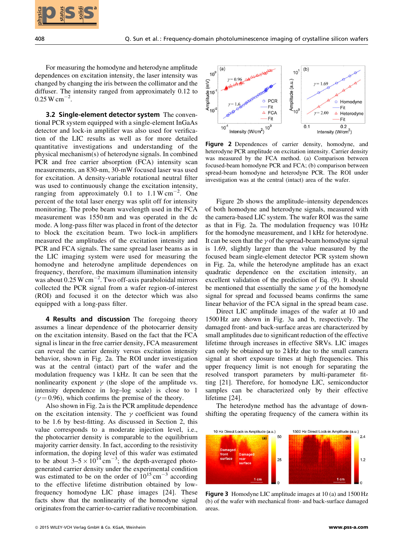

For measuring the homodyne and heterodyne amplitude dependences on excitation intensity, the laser intensity was changed by changing the iris between the collimator and the diffuser. The intensity ranged from approximately 0.12 to  $0.25 \,\mathrm{W} \,\mathrm{cm}^{-2}$ .

3.2 Single-element detector system The conventional PCR system equipped with a single-element InGaAs detector and lock-in amplifier was also used for verification of the LIC results as well as for more detailed quantitative investigations and understanding of the physical mechanism(s) of heterodyne signals. In combined PCR and free carrier absorption (FCA) intensity scan measurements, an 830-nm, 30-mW focused laser was used for excitation. A density-variable rotational neutral filter was used to continuously change the excitation intensity, ranging from approximately  $0.1$  to  $1.1 \text{ W cm}^{-2}$ . One percent of the total laser energy was split off for intensity monitoring. The probe beam wavelength used in the FCA measurement was 1550 nm and was operated in the dc mode. A long-pass filter was placed in front of the detector to block the excitation beam. Two lock-in amplifiers measured the amplitudes of the excitation intensity and PCR and FCA signals. The same spread laser beams as in the LIC imaging system were used for measuring the homodyne and heterodyne amplitude dependences on frequency, therefore, the maximum illumination intensity was about  $0.25 \text{ W cm}^{-2}$ . Two off-axis paraboloidal mirrors collected the PCR signal from a wafer region-of-interest (ROI) and focused it on the detector which was also equipped with a long-pass filter. **2018 Solidion** Control in the phenometric photoherine photoherine was implied trying in the status of the control in the control in the control in the control in the control in the control in the control in the control i

4 Results and discussion The foregoing theory assumes a linear dependence of the photocarrier density on the excitation intensity. Based on the fact that the FCA signal is linear in the free carrier density, FCA measurement can reveal the carrier density versus excitation intensity behavior, shown in Fig. 2a. The ROI under investigation was at the central (intact) part of the wafer and the modulation frequency was 1 kHz. It can be seen that the nonlinearity exponent  $\gamma$  (the slope of the amplitude vs. intensity dependence in log–log scale) is close to 1  $(y=0.96)$ , which confirms the premise of the theory.

Also shown in Fig. 2a is the PCR amplitude dependence on the excitation intensity. The  $\gamma$  coefficient was found to be 1.6 by best-fitting. As discussed in Section 2, this value corresponds to a moderate injection level, i.e., the photocarrier density is comparable to the equilibrium majority carrier density. In fact, according to the resistivity information, the doping level of this wafer was estimated to be about  $3-5 \times 10^{14}$  cm<sup>-3</sup>; the depth-averaged photogenerated carrier density under the experimental condition was estimated to be on the order of  $10^{15}$  cm<sup>-3</sup> according to the effective lifetime distribution obtained by lowfrequency homodyne LIC phase images [24]. These facts show that the nonlinearity of the homodyne signal originates from the carrier-to-carrier radiative recombination.



Figure 2 Dependences of carrier density, homodyne, and heterodyne PCR amplitude on excitation intensity. Carrier density was measured by the FCA method. (a) Comparison between focused-beam homodyne PCR and FCA; (b) comparison between spread-beam homodyne and heterodyne PCR. The ROI under investigation was at the central (intact) area of the wafer.

Figure 2b shows the amplitude–intensity dependences of both homodyne and heterodyne signals, measured with the camera-based LIC system. The wafer ROI was the same as that in Fig. 2a. The modulation frequency was 10 Hz for the homodyne measurement, and 1 kHz for heterodyne. It can be seen that the  $\gamma$  of the spread-beam homodyne signal is 1.69, slightly larger than the value measured by the focused beam single-element detector PCR system shown in Fig. 2a, while the heterodyne amplitude has an exact quadratic dependence on the excitation intensity, an excellent validation of the prediction of Eq. (9). It should be mentioned that essentially the same  $\gamma$  of the homodyne signal for spread and focussed beams confirms the same linear behavior of the FCA signal in the spread beam case.

Direct LIC amplitude images of the wafer at 10 and 1500 Hz are shown in Fig. 3a and b, respectively. The damaged front- and back-surface areas are characterized by small amplitudes due to significant reduction of the effective lifetime through increases in effective SRVs. LIC images can only be obtained up to 2 kHz due to the small camera signal at short exposure times at high frequencies. This upper frequency limit is not enough for separating the resolved transport parameters by multi-parameter fitting [21]. Therefore, for homodyne LIC, semiconductor samples can be characterized only by their effective lifetime [24].

The heterodyne method has the advantage of downshifting the operating frequency of the camera within its



**Figure 3** Homodyne LIC amplitude images at 10 (a) and 1500 Hz (b) of the wafer with mechanical front- and back-surface damaged areas.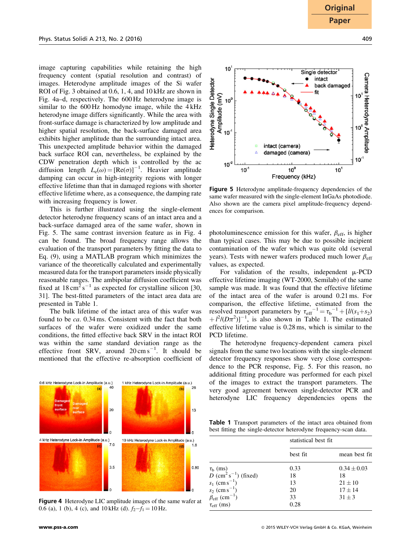image capturing capabilities while retaining the high frequency content (spatial resolution and contrast) of images. Heterodyne amplitude images of the Si wafer ROI of Fig. 3 obtained at 0.6, 1, 4, and 10 kHz are shown in Fig. 4a–d, respectively. The 600 Hz heterodyne image is similar to the 600 Hz homodyne image, while the 4 kHz heterodyne image differs significantly. While the area with front-surface damage is characterized by low amplitude and higher spatial resolution, the back-surface damaged area exhibits higher amplitude than the surrounding intact area. This unexpected amplitude behavior within the damaged back surface ROI can, nevertheless, be explained by the CDW penetration depth which is controlled by the ac diffusion length  $L_e(\omega) = [Re(\sigma)]^{-1}$ . Heavier amplitude<br>damning can occur in high-integrity regions with longer damping can occur in high-integrity regions with longer effective lifetime than that in damaged regions with shorter effective lifetime where, as a consequence, the damping rate with increasing frequency is lower.

This is further illustrated using the single-element detector heterodyne frequency scans of an intact area and a back-surface damaged area of the same wafer, shown in Fig. 5. The same contrast inversion feature as in Fig. 4 can be found. The broad frequency range allows the evaluation of the transport parameters by fitting the data to Eq. (9), using a MATLAB program which minimizes the variance of the theoretically calculated and experimentally measured data for the transport parameters inside physically reasonable ranges. The ambipolar diffusion coefficient was fixed at  $18 \text{ cm}^2 \text{s}^{-1}$  as expected for crystalline silicon [30, 31]. The best-fitted parameters of the intact area data are presented in Table 1.

The bulk lifetime of the intact area of this wafer was found to be ca. 0.34 ms. Consistent with the fact that both surfaces of the wafer were oxidized under the same conditions, the fitted effective back SRV in the intact ROI was within the same standard deviation range as the effective front SRV, around  $20 \text{ cm s}^{-1}$ . It should be mentioned that the effective re-absorption coefficient of



Figure 4 Heterodyne LIC amplitude images of the same wafer at 0.6 (a), 1 (b), 4 (c), and 10 kHz (d).  $f_2-f_1 = 10$  Hz.



Figure 5 Heterodyne amplitude-frequency dependencies of the same wafer measured with the single-element InGaAs photodiode. Also shown are the camera pixel amplitude-frequency dependences for comparison.

 $10^{\circ}$ 

Frequency (kHz)

damaged (camera)

 $10$ 

Amplitude (mV)<br> $\frac{1}{10}$ 

 $10^{-1}$ 

 $10^{2}$ 

 $\lambda$ 

 $10^{-1}$ 

Detector

Heterodyne Single

photoluminescence emission for this wafer,  $\beta_{\text{eff}}$ , is higher than typical cases. This may be due to possible incipient contamination of the wafer which was quite old (several years). Tests with newer wafers produced much lower  $\beta_{\text{eff}}$ values, as expected.

For validation of the results, independent  $\mu$ -PCD effective lifetime imaging (WT-2000, Semilab) of the same sample was made. It was found that the effective lifetime of the intact area of the wafer is around 0.21 ms. For comparison, the effective lifetime, estimated from the resolved transport parameters by  $\tau_{\text{eff}}^{-1} = \tau_b^{-1} + [l/(s_1+s_2)]$ <br>+  $l^2/(D\pi^2)l^{-1}$  is also shown in Table 1. The estimated  $\pm i\frac{\nu}{\nu\pi}$  ; is also shown in Table 1. The estimated effective lifetime value is 0.28 ms, which is similar to the  $^{2}/(D\pi^{2})$ ]<sup>-1</sup>, is also shown in Table 1. The estimated<br>ective lifetime value is 0.28 ms, which is similar to the PCD lifetime.

The heterodyne frequency-dependent camera pixel signals from the same two locations with the single-element detector frequency responses show very close correspondence to the PCR response, Fig. 5. For this reason, no additional fitting procedure was performed for each pixel of the images to extract the transport parameters. The very good agreement between single-detector PCR and heterodyne LIC frequency dependencies opens the

Table 1 Transport parameters of the intact area obtained from best fitting the single-detector heterodyne frequency-scan data.

|                                                                                                  | statistical best fit |                 |
|--------------------------------------------------------------------------------------------------|----------------------|-----------------|
|                                                                                                  | best fit             | mean best fit   |
|                                                                                                  | 0.33                 | $0.34 \pm 0.03$ |
| $\frac{\tau_{b}}{D}$ (ms)<br>$D$ (cm <sup>2</sup> s <sup>-1</sup> ) (fixed)                      | 18                   | 18              |
|                                                                                                  | 13                   | $21 + 10$       |
|                                                                                                  | 20                   | $17 \pm 14$     |
| $s_1 \text{ (cm s}^{-1})$<br>$s_2 \text{ (cm s}^{-1})$<br>$\beta_{\text{eff}} \text{ (cm}^{-1})$ | 33                   | $31 \pm 3$      |
| $\tau_{\rm eff}$ (ms)                                                                            | 0.28                 |                 |

 $10^{-1}$ 

 $10<sup>1</sup>$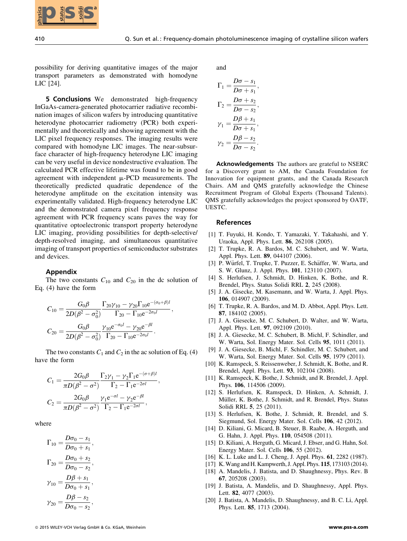

possibility for deriving quantitative images of the major transport parameters as demonstrated with homodyne LIC [24].

**5 Conclusions** We demonstrated high-frequency InGaAs-camera-generated photocarrier radiative recombination images of silicon wafers by introducing quantitative heterodyne photocarrier radiometry (PCR) both experimentally and theoretically and showing agreement with the LIC pixel frequency responses. The imaging results were compared with homodyne LIC images. The near-subsurface character of high-frequency heterodyne LIC imaging can be very useful in device nondestructive evaluation. The calculated PCR effective lifetime was found to be in good agreement with independent  $\mu$ -PCD measurements. The theoretically predicted quadratic dependence of the heterodyne amplitude on the excitation intensity was experimentally validated. High-frequency heterodyne LIC and the demonstrated camera pixel frequency response agreement with PCR frequency scans paves the way for quantitative optoelectronic transport property heterodyne LIC imaging, providing possibilities for depth-selective/ depth-resolved imaging, and simultaneous quantitative imaging of transport properties of semiconductor substrates and devices. **2018 SS 1914**<br>
2018 Wiley for detring quantitative integers of the major<br>
consider process of a status since of the major<br>
consider process of a status since of the major<br>
2018 CHE and the major since of a status since o

## Appendix

The two constants  $C_{10}$  and  $C_{20}$  in the dc solution of Eq. (4) have the form

$$
C_{10} = \frac{G_0 \beta}{2D(\beta^2 - \sigma_0^2)} \frac{\Gamma_{20} \gamma_{10} - \gamma_{20} \Gamma_{10} e^{-(\sigma_0 + \beta)l}}{\Gamma_{20} - \Gamma_{10} e^{-2\sigma_0 l}},
$$
  

$$
C_{20} = \frac{G_0 \beta}{2D(\beta^2 - \sigma_0^2)} \frac{\gamma_{10} e^{-\sigma_0 l} - \gamma_{20} e^{-\beta l}}{\Gamma_{20} - \Gamma_{10} e^{-2\sigma_0 l}}.
$$

The two constants  $C_1$  and  $C_2$  in the ac solution of Eq. (4) have the form

$$
C_1 = \frac{2G_0\beta}{\pi D(\beta^2 - \sigma^2)} \frac{\Gamma_2\gamma_1 - \gamma_2\Gamma_1 e^{-(\sigma+\beta)t}}{\Gamma_2 - \Gamma_1 e^{-2\sigma t}},
$$
  

$$
C_2 = \frac{2G_0\beta}{\pi D(\beta^2 - \sigma^2)} \frac{\gamma_1 e^{-\sigma t} - \gamma_2 e^{-\beta t}}{\Gamma_2 - \Gamma_1 e^{-2\sigma t}},
$$

where

$$
\Gamma_{10} = \frac{D\sigma_0 - s_1}{D\sigma_0 + s_1},
$$
\n
$$
\Gamma_{20} = \frac{D\sigma_0 + s_2}{D\sigma_0 - s_2},
$$
\n
$$
\gamma_{10} = \frac{D\beta + s_1}{D\sigma_0 + s_1},
$$
\n
$$
\gamma_{20} = \frac{D\beta - s_2}{D\sigma_0 - s_2},
$$

and

$$
\Gamma_1 = \frac{D\sigma - s_1}{D\sigma + s_1},
$$
\n
$$
\Gamma_2 = \frac{D\sigma + s_2}{D\sigma - s_2},
$$
\n
$$
\gamma_1 = \frac{D\beta + s_1}{D\sigma + s_1},
$$
\n
$$
\gamma_2 = \frac{D\beta - s_2}{D\sigma - s_2}.
$$

Acknowledgements The authors are grateful to NSERC for a Discovery grant to AM, the Canada Foundation for Innovation for equipment grants, and the Canada Research Chairs. AM and QMS gratefully acknowledge the Chinese Recruitment Program of Global Experts (Thousand Talents). QMS gratefully acknowledges the project sponsored by OATF, UESTC.

## References

- [1] T. Fuyuki, H. Kondo, T. Yamazaki, Y. Takahashi, and Y. Uraoka, Appl. Phys. Lett. 86, 262108 (2005).
- [2] T. Trupke, R. A. Bardos, M. C. Schubert, and W. Warta, Appl. Phys. Lett. 89, 044107 (2006).
- [3] P. Würfel, T. Trupke, T. Puzzer, E. Schäffer, W. Warta, and S. W. Glunz, J. Appl. Phys. 101, 123110 (2007).
- [4] S. Herlufsen, J. Schmidt, D. Hinken, K. Bothe, and R. Brendel, Phys. Status Solidi RRL 2, 245 (2008).
- [5] J. A. Gisecke, M. Kasemann, and W. Warta, J. Appl. Phys. 106, 014907 (2009).
- [6] T. Trupke, R. A. Bardos, and M. D. Abbot, Appl. Phys. Lett. 87, 184102 (2005).
- [7] J. A. Giesecke, M. C. Schubert, D. Walter, and W. Warta, Appl. Phys. Lett. 97, 092109 (2010).
- [8] J. A. Giesecke, M. C. Schubert, B. Michl, F. Schindler, and W. Warta, Sol. Energy Mater. Sol. Cells 95, 1011 (2011).
- [9] J. A. Giesecke, B. Michl, F. Schindler, M. C. Schubert, and W. Warta, Sol. Energy Mater. Sol. Cells 95, 1979 (2011).
- [10] K. Ramspeck, S. Reissenweber, J. Schmidt, K. Bothe, and R. Brendel, Appl. Phys. Lett. 93, 102104 (2008).
- [11] K. Ramspeck, K. Bothe, J. Schmidt, and R. Brendel, J. Appl. Phys. 106, 114506 (2009).
- [12] S. Herlufsen, K. Ramspeck, D. Hinken, A. Schmidt, J. Müller, K. Bothe, J. Schmidt, and R. Brendel, Phys. Status Solidi RRL 5, 25 (2011).
- [13] S. Herlufsen, K. Bothe, J. Schmidt, R. Brendel, and S. Siegmund, Sol. Energy Mater. Sol. Cells 106, 42 (2012).
- [14] D. Kiliani, G. Micard, B. Steuer, B. Raabe, A. Herguth, and G. Hahn, J. Appl. Phys. 110, 054508 (2011).
- [15] D. Kiliani, A. Herguth, G. Micard, J. Ebser, and G. Hahn, Sol. Energy Mater. Sol. Cells 106, 55 (2012).
- [16] K. L. Luke and L. J. Cheng, J. Appl. Phys. 61, 2282 (1987).
- [17] K.Wang and H. Kampwerth, J. Appl. Phys. 115, 173103 (2014).
- [18] A. Mandelis, J. Batista, and D. Shaughnessy, Phys. Rev. B 67, 205208 (2003).
- [19] J. Batista, A. Mandelis, and D. Shaughnessy, Appl. Phys. Lett. 82, 4077 (2003).
- [20] J. Batista, A. Mandelis, D. Shaughnessy, and B. C. Li, Appl. Phys. Lett. 85, 1713 (2004).